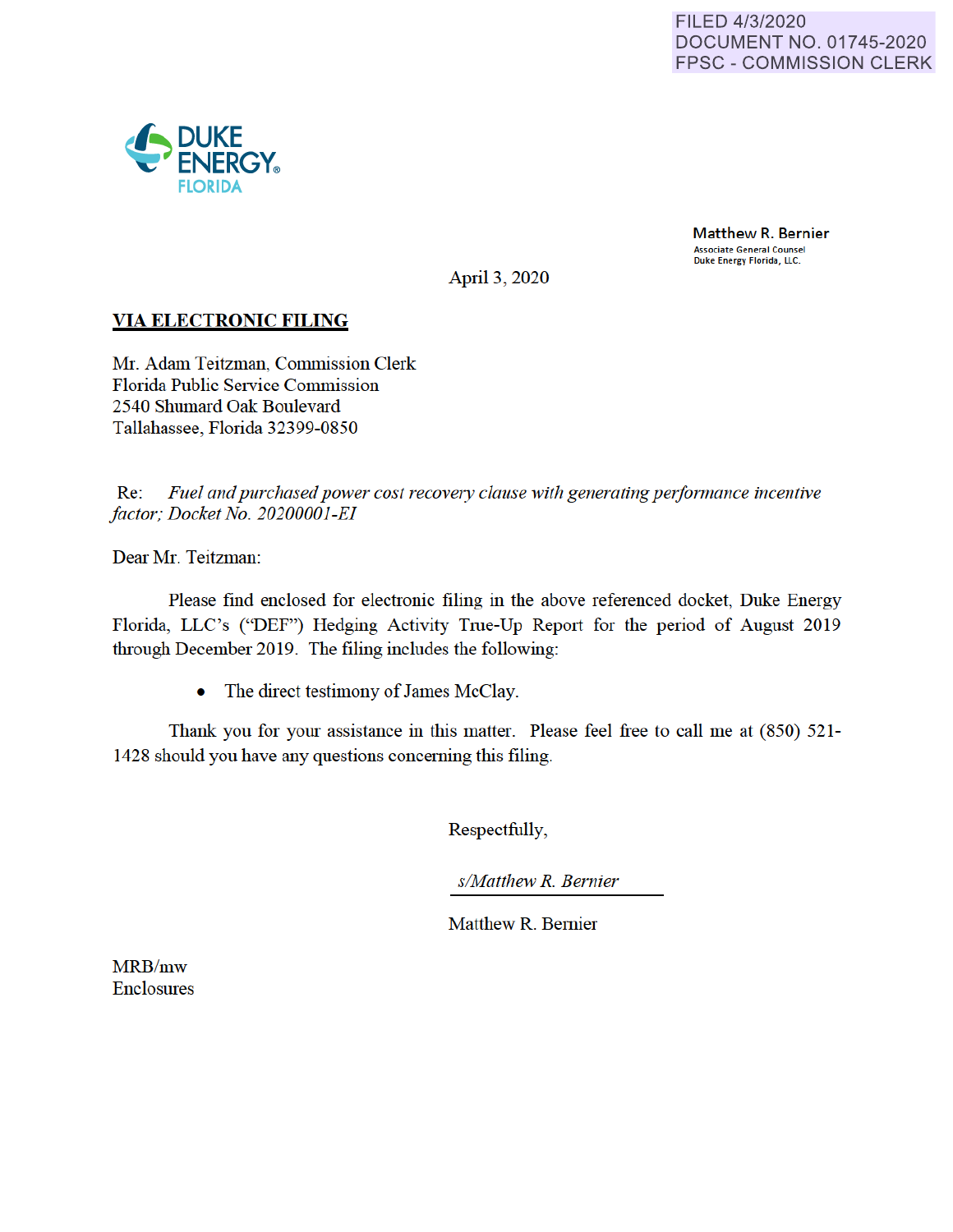

Matthew R. Bernier Associate General Counsel Duke Energy Florida, LLC.

April 3, 2020

# **VIA ELECTRONIC FILING**

Mr. Adam Teitzman, Commission Clerk Florida Public Service Commission 2540 Shumard Oak Boulevard Tallahassee, Florida 32399-0850

Re: Fuel and purchased power cost recovery clause with generating performance incentive *factor; Docket No. 20200001-EI* 

Dear Mr. Teitzman:

Please find enclosed for electronic filing in the above referenced docket, Duke Energy Florida, LLC's ("DEF") Hedging Activity Tme-Up Report for the period of August 2019 through December 2019. The filing includes the following:

• The direct testimony of James McClay.

Thank you for your assistance in this matter. Please feel free to call me at (850) 521- 1428 should you have any questions concerning this filing.

Respectfully,

*s/Matthew R. Bernier* 

Matthew R. Bernier

MRB/mw Enclosures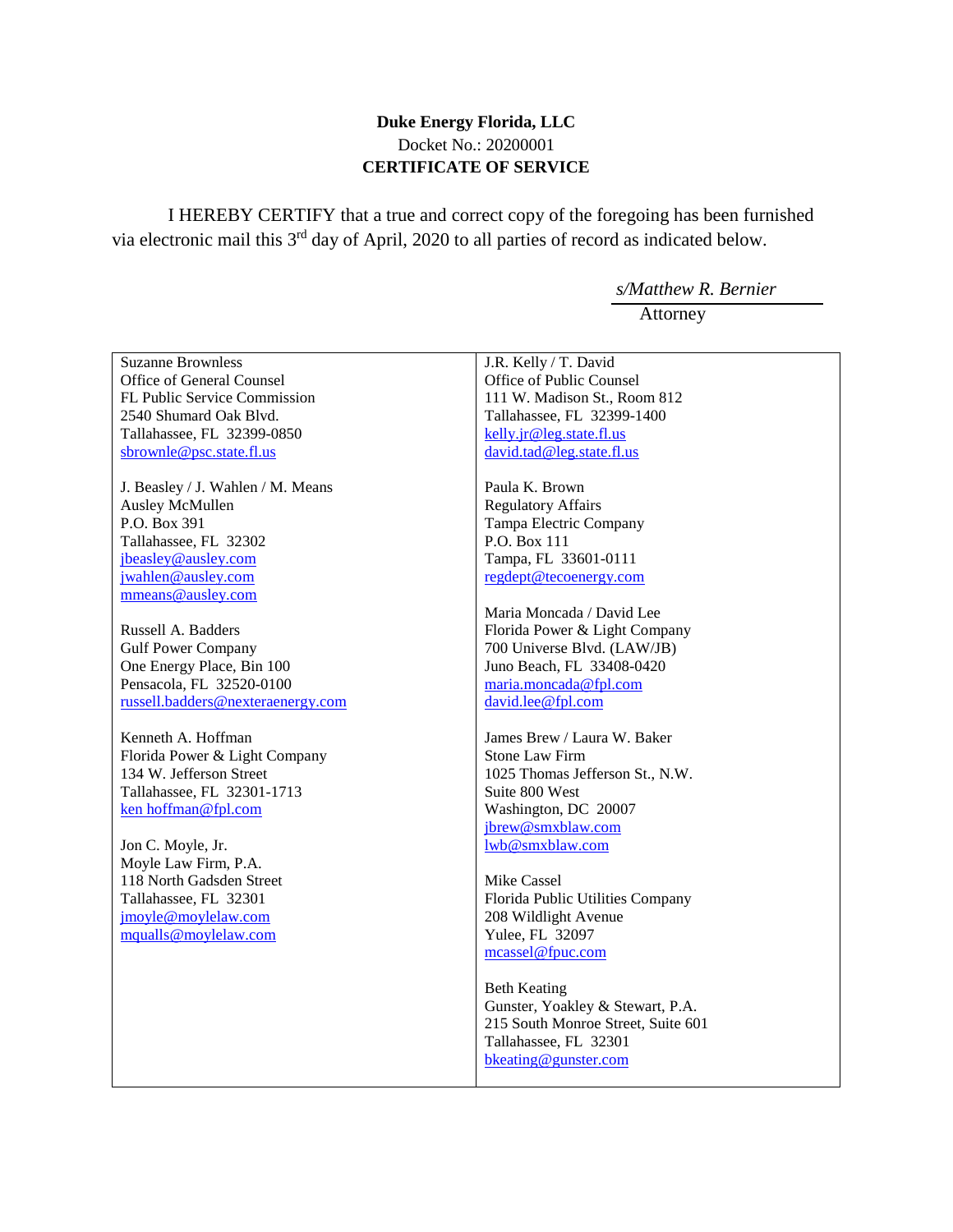#### **Duke Energy Florida, LLC** Docket No.: 20200001 **CERTIFICATE OF SERVICE**

I HEREBY CERTIFY that a true and correct copy of the foregoing has been furnished via electronic mail this 3rd day of April, 2020 to all parties of record as indicated below.

> *s/Matthew R. Bernier* Attorney

| <b>Suzanne Brownless</b>          | J.R. Kelly / T. David              |
|-----------------------------------|------------------------------------|
| Office of General Counsel         | Office of Public Counsel           |
| FL Public Service Commission      | 111 W. Madison St., Room 812       |
| 2540 Shumard Oak Blvd.            | Tallahassee, FL 32399-1400         |
| Tallahassee, FL 32399-0850        | kelly.jr@leg.state.fl.us           |
| sbrownle@psc.state.fl.us          | david.tad@leg.state.fl.us          |
| J. Beasley / J. Wahlen / M. Means | Paula K. Brown                     |
| Ausley McMullen                   | <b>Regulatory Affairs</b>          |
| P.O. Box 391                      | Tampa Electric Company             |
| Tallahassee, FL 32302             | P.O. Box 111                       |
| jbeasley@ausley.com               | Tampa, FL 33601-0111               |
| jwahlen@ausley.com                | regdept@tecoenergy.com             |
| mmeans@ausley.com                 |                                    |
|                                   | Maria Moncada / David Lee          |
| Russell A. Badders                | Florida Power & Light Company      |
| <b>Gulf Power Company</b>         | 700 Universe Blvd. (LAW/JB)        |
| One Energy Place, Bin 100         | Juno Beach, FL 33408-0420          |
| Pensacola, FL 32520-0100          | maria.moncada@fpl.com              |
| russell.badders@nexteraenergy.com | david.lee@fpl.com                  |
|                                   |                                    |
| Kenneth A. Hoffman                | James Brew / Laura W. Baker        |
| Florida Power & Light Company     | Stone Law Firm                     |
| 134 W. Jefferson Street           | 1025 Thomas Jefferson St., N.W.    |
| Tallahassee, FL 32301-1713        | Suite 800 West                     |
| ken hoffman@fpl.com               | Washington, DC 20007               |
|                                   | jbrew@smxblaw.com                  |
| Jon C. Moyle, Jr.                 | lwb@smxblaw.com                    |
| Moyle Law Firm, P.A.              |                                    |
| 118 North Gadsden Street          | Mike Cassel                        |
| Tallahassee, FL 32301             | Florida Public Utilities Company   |
| jmoyle@moylelaw.com               | 208 Wildlight Avenue               |
| mqualls@moylelaw.com              | Yulee, FL 32097                    |
|                                   | mcassel@fpuc.com                   |
|                                   | <b>Beth Keating</b>                |
|                                   | Gunster, Yoakley & Stewart, P.A.   |
|                                   | 215 South Monroe Street, Suite 601 |
|                                   |                                    |
|                                   |                                    |
|                                   | Tallahassee, FL 32301              |
|                                   | bkeating@gunster.com               |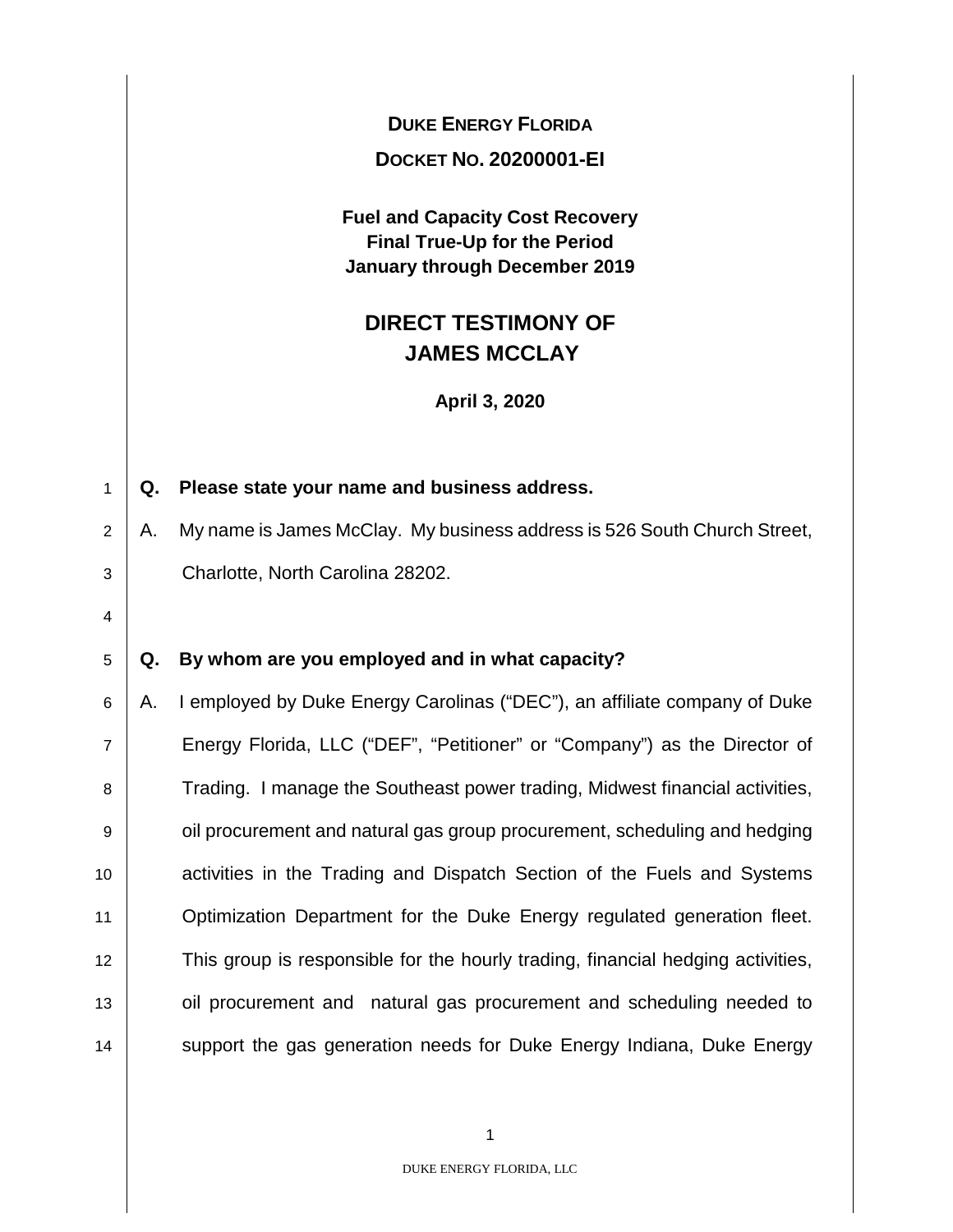**DUKE ENERGY FLORIDA**

**DOCKET NO. 20200001-EI** 

**Fuel and Capacity Cost Recovery Final True-Up for the Period January through December 2019**

# **DIRECT TESTIMONY OF JAMES MCCLAY**

**April 3, 2020**

## 1 **Q. Please state your name and business address.**

 $2 \parallel A$ . My name is James McClay. My business address is 526 South Church Street, 3 Charlotte, North Carolina 28202.

4

## 5 **Q. By whom are you employed and in what capacity?**

6 A. I employed by Duke Energy Carolinas ("DEC"), an affiliate company of Duke 7 Energy Florida, LLC ("DEF", "Petitioner" or "Company") as the Director of 8 Trading. I manage the Southeast power trading, Midwest financial activities, 9 **Julie 2** oil procurement and natural gas group procurement, scheduling and hedging 10 **Activities in the Trading and Dispatch Section of the Fuels and Systems** 11 | Optimization Department for the Duke Energy regulated generation fleet. 12 This group is responsible for the hourly trading, financial hedging activities, 13 | oil procurement and natural gas procurement and scheduling needed to 14 Support the gas generation needs for Duke Energy Indiana, Duke Energy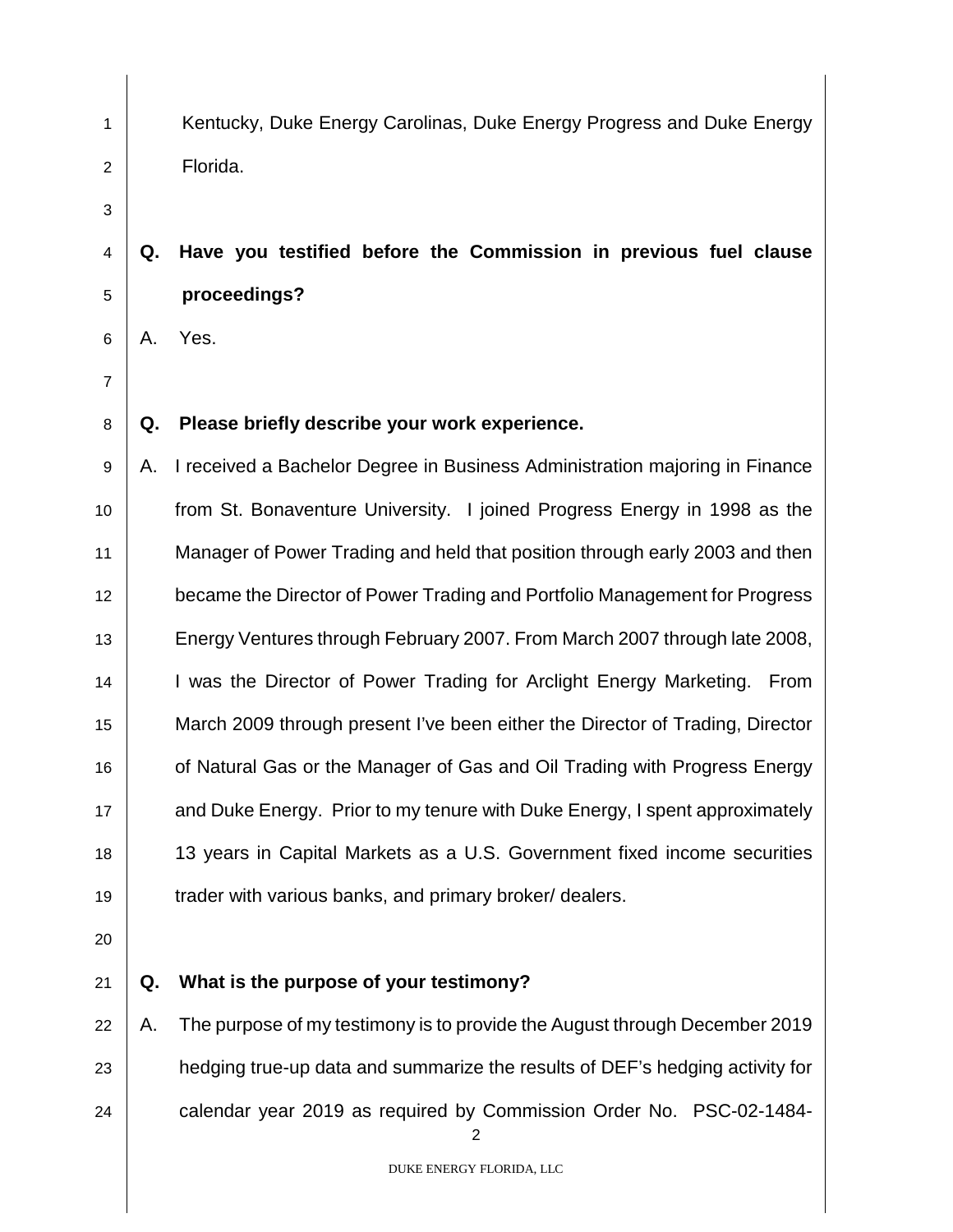1 Kentucky, Duke Energy Carolinas, Duke Energy Progress and Duke Energy 2 Florida.

# **Q. Have you testified before the Commission in previous fuel clause proceedings?**

A. Yes.

## **Q. Please briefly describe your work experience.**

9 A. I received a Bachelor Degree in Business Administration majoring in Finance **from St. Bonaventure University.** I joined Progress Energy in 1998 as the Manager of Power Trading and held that position through early 2003 and then became the Director of Power Trading and Portfolio Management for Progress **Energy Ventures through February 2007. From March 2007 through late 2008,** 14 | I was the Director of Power Trading for Arclight Energy Marketing. From March 2009 through present I've been either the Director of Trading, Director **or Natural Gas or the Manager of Gas and Oil Trading with Progress Energy All and Duke Energy. Prior to my tenure with Duke Energy, I spent approximately**  13 years in Capital Markets as a U.S. Government fixed income securities **trader with various banks, and primary broker/ dealers.** 

- 
- 

#### **Q. What is the purpose of your testimony?**

22 A. The purpose of my testimony is to provide the August through December 2019  $\parallel$  hedging true-up data and summarize the results of DEF's hedging activity for **calendar year 2019 as required by Commission Order No. PSC-02-1484-**

DUKE ENERGY FLORIDA, LLC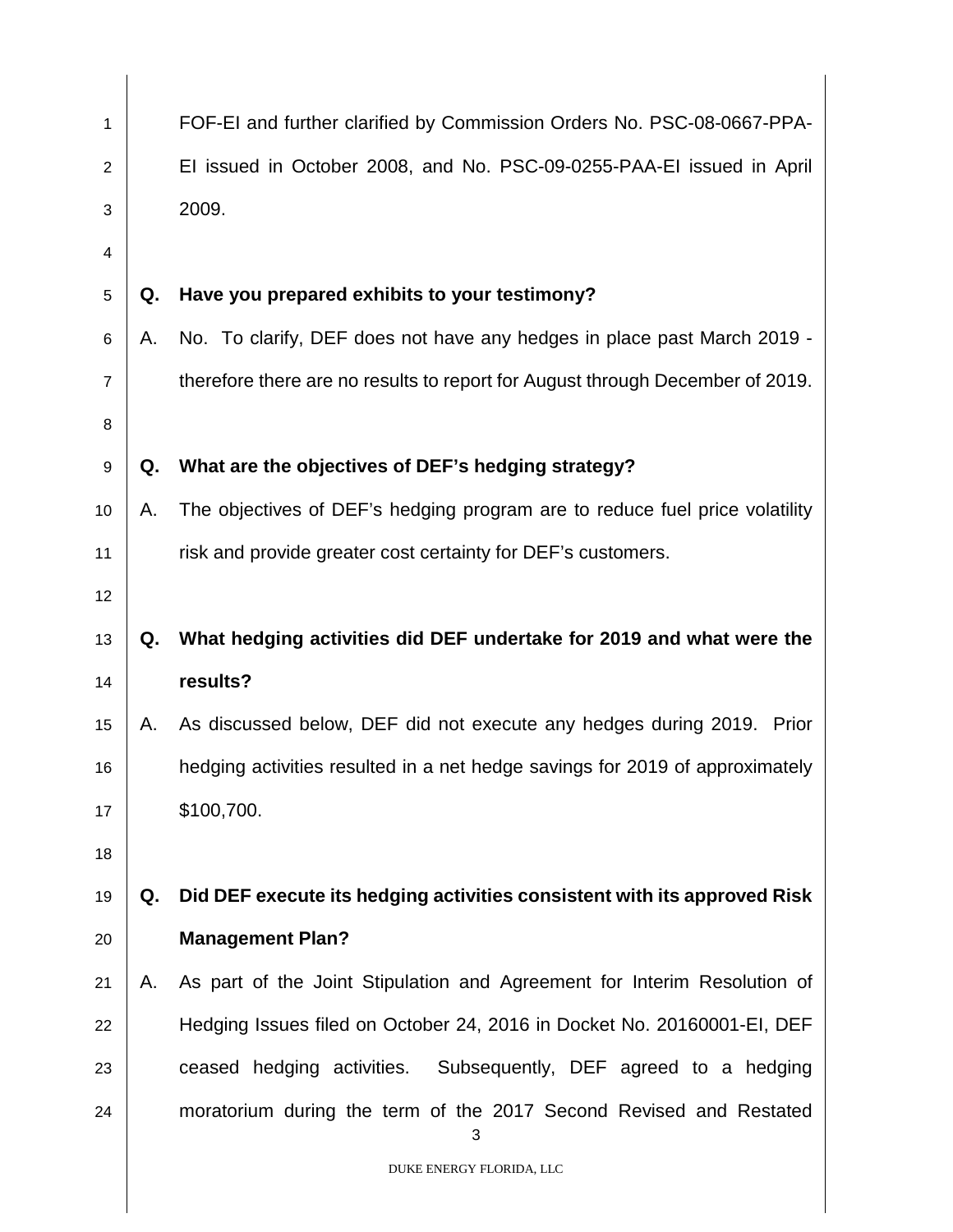| 1              |    | FOF-EI and further clarified by Commission Orders No. PSC-08-0667-PPA-        |
|----------------|----|-------------------------------------------------------------------------------|
| $\overline{2}$ |    | El issued in October 2008, and No. PSC-09-0255-PAA-El issued in April         |
| 3              |    | 2009.                                                                         |
| 4              |    |                                                                               |
| 5              | Q. | Have you prepared exhibits to your testimony?                                 |
| 6              | А. | No. To clarify, DEF does not have any hedges in place past March 2019 -       |
| $\overline{7}$ |    | therefore there are no results to report for August through December of 2019. |
| 8              |    |                                                                               |
| 9              | Q. | What are the objectives of DEF's hedging strategy?                            |
| 10             | Α. | The objectives of DEF's hedging program are to reduce fuel price volatility   |
| 11             |    | risk and provide greater cost certainty for DEF's customers.                  |
| 12             |    |                                                                               |
| 13             | Q. | What hedging activities did DEF undertake for 2019 and what were the          |
| 14             |    | results?                                                                      |
| 15             | А. | As discussed below, DEF did not execute any hedges during 2019. Prior         |
| 16             |    | hedging activities resulted in a net hedge savings for 2019 of approximately  |
| 17             |    | \$100,700.                                                                    |
| 18             |    |                                                                               |
| 19             | Q. | Did DEF execute its hedging activities consistent with its approved Risk      |
| 20             |    | <b>Management Plan?</b>                                                       |
| 21             | А. | As part of the Joint Stipulation and Agreement for Interim Resolution of      |
| 22             |    | Hedging Issues filed on October 24, 2016 in Docket No. 20160001-EI, DEF       |
| 23             |    | ceased hedging activities. Subsequently, DEF agreed to a hedging              |
| 24             |    | moratorium during the term of the 2017 Second Revised and Restated<br>3       |
|                |    | DUKE ENERGY FLORIDA, LLC                                                      |

 $\overline{\mathbf{I}}$